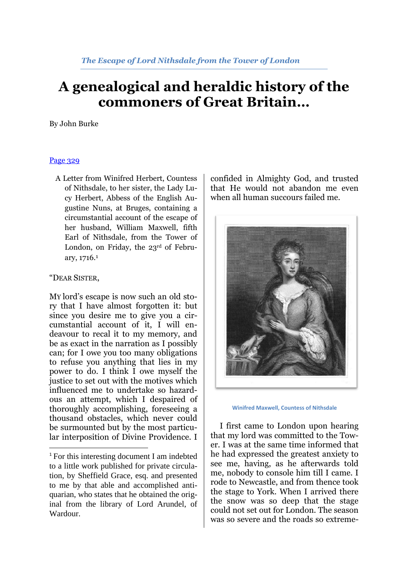## **A genealogical and heraldic history of the commoners of Great Britain…**

By John Burke

## [Page 329](http://books.google.com/books?id=U_CvyAF3ko4C&lpg=PA327&ots=3uoz5OLODa&dq=Thomas-Angus%20Constable%2C&pg=PA329#v=onepage&q=Thomas-Angus%20Constable,&f=false)

A Letter from Winifred Herbert, Countess of Nithsdale, to her sister, the Lady Lucy Herbert, Abbess of the English Augustine Nuns, at Bruges, containing a circumstantial account of the escape of her husband, William Maxwell, fifth Earl of Nithsdale, from the Tower of London, on Friday, the 23rd of February, 1716.<sup>1</sup>

## "DEAR SISTER,

**.** 

MY lord's escape is now such an old story that I have almost forgotten it: but since you desire me to give you a circumstantial account of it, I will endeavour to recal it to my memory, and be as exact in the narration as I possibly can; for I owe you too many obligations to refuse you anything that lies in my power to do. I think I owe myself the justice to set out with the motives which influenced me to undertake so hazardous an attempt, which I despaired of thoroughly accomplishing, foreseeing a thousand obstacles, which never could be surmounted but by the most particular interposition of Divine Providence. I

confided in Almighty God, and trusted that He would not abandon me even when all human succours failed me.



**Winifred Maxwell, Countess of Nithsdale**

I first came to London upon hearing that my lord was committed to the Tower. I was at the same time informed that he had expressed the greatest anxiety to see me, having, as he afterwards told me, nobody to console him till I came. I rode to Newcastle, and from thence took the stage to York. When I arrived there the snow was so deep that the stage could not set out for London. The season was so severe and the roads so extreme-

<sup>&</sup>lt;sup>1</sup> For this interesting document I am indebted to a little work published for private circulation, by Sheffield Grace, esq. and presented to me by that able and accomplished antiquarian, who states that he obtained the original from the library of Lord Arundel, of Wardour.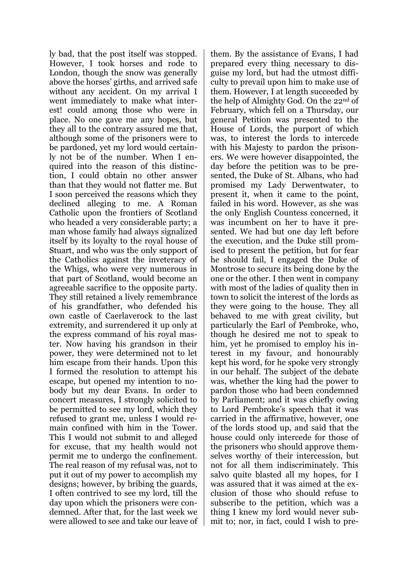ly bad, that the post itself was stopped. However, I took horses and rode to London, though the snow was generally above the horses' girths, and arrived safe without any accident. On my arrival I went immediately to make what interest! could among those who were in place. No one gave me any hopes, but they all to the contrary assured me that, although some of the prisoners were to be pardoned, yet my lord would certainly not be of the number. When I enquired into the reason of this distinction, I could obtain no other answer than that they would not flatter me. But I soon perceived the reasons which they declined alleging to me. A Roman Catholic upon the frontiers of Scotland who headed a very considerable party; a man whose family had always signalized itself by its loyalty to the royal house of Stuart, and who was the only support of the Catholics against the inveteracy of the Whigs, who were very numerous in that part of Scotland, would become an agreeable sacrifice to the opposite party. They still retained a lively remembrance of his grandfather, who defended his own castle of Caerlaverock to the last extremity, and surrendered it up only at the express command of his royal master. Now having his grandson in their power, they were determined not to let him escape from their hands. Upon this I formed the resolution to attempt his escape, but opened my intention to nobody but my dear Evans. In order to concert measures, I strongly solicited to be permitted to see my lord, which they refused to grant me, unless I would remain confined with him in the Tower. This I would not submit to and alleged for excuse, that my health would not permit me to undergo the confinement. The real reason of my refusal was, not to put it out of my power to accomplish my designs; however, by bribing the guards, I often contrived to see my lord, till the day upon which the prisoners were condemned. After that, for the last week we were allowed to see and take our leave of

them. By the assistance of Evans, I had prepared every thing necessary to disguise my lord, but had the utmost difficulty to prevail upon him to make use of them. However, I at length succeeded by the help of Almighty God. On the 22nd of February, which fell on a Thursday, our general Petition was presented to the House of Lords, the purport of which was, to interest the lords to intercede with his Majesty to pardon the prisoners. We were however disappointed, the day before the petition was to be presented, the Duke of St. Albans, who had promised my Lady Derwentwater, to present it, when it came to the point, failed in his word. However, as she was the only English Countess concerned, it was incumbent on her to have it presented. We had but one day left before the execution, and the Duke still promised to present the petition, but for fear he should fail, I engaged the Duke of Montrose to secure its being done by the one or the other. I then went in company with most of the ladies of quality then in town to solicit the interest of the lords as they were going to the house. They all behaved to me with great civility, but particularly the Earl of Pembroke, who, though he desired me not to speak to him, yet he promised to employ his interest in my favour, and honourably kept his word, for he spoke very strongly in our behalf. The subject of the debate was, whether the king had the power to pardon those who had been condemned by Parliament; and it was chiefly owing to Lord Pembroke's speech that it was carried in the affirmative, however, one of the lords stood up, and said that the house could only intercede for those of the prisoners who should approve themselves worthy of their intercession, but not for all them indiscriminately. This salvo quite blasted all my hopes, for I was assured that it was aimed at the exclusion of those who should refuse to subscribe to the petition, which was a thing I knew my lord would never submit to; nor, in fact, could I wish to pre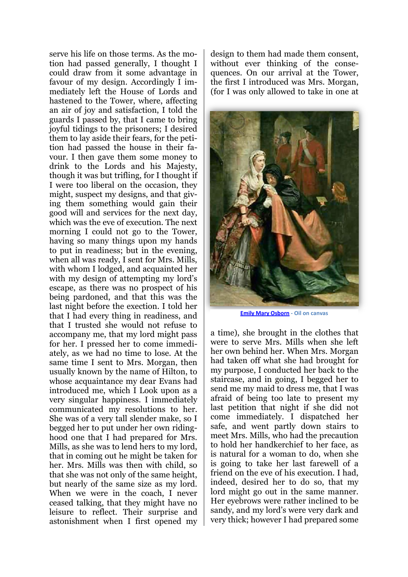serve his life on those terms. As the motion had passed generally, I thought I could draw from it some advantage in favour of my design. Accordingly I immediately left the House of Lords and hastened to the Tower, where, affecting an air of joy and satisfaction, I told the guards I passed by, that I came to bring joyful tidings to the prisoners; I desired them to lay aside their fears, for the petition had passed the house in their favour. I then gave them some money to drink to the Lords and his Majesty, though it was but trifling, for I thought if I were too liberal on the occasion, they might, suspect my designs, and that giving them something would gain their good will and services for the next day, which was the eve of execution. The next morning I could not go to the Tower, having so many things upon my hands to put in readiness; but in the evening, when all was ready, I sent for Mrs. Mills, with whom I lodged, and acquainted her with my design of attempting my lord's escape, as there was no prospect of his being pardoned, and that this was the last night before the exection. I told her that I had every thing in readiness, and that I trusted she would not refuse to accompany me, that my lord might pass for her. I pressed her to come immediately, as we had no time to lose. At the same time I sent to Mrs. Morgan, then usually known by the name of Hilton, to whose acquaintance my dear Evans had introduced me, which I Look upon as a very singular happiness. I immediately communicated my resolutions to her. She was of a very tall slender make, so I begged her to put under her own ridinghood one that I had prepared for Mrs. Mills, as she was to lend hers to my lord, that in coming out he might be taken for her. Mrs. Mills was then with child, so that she was not only of the same height, but nearly of the same size as my lord. When we were in the coach, I never ceased talking, that they might have no leisure to reflect. Their surprise and astonishment when I first opened my

design to them had made them consent, without ever thinking of the consequences. On our arrival at the Tower, the first I introduced was Mrs. Morgan, (for I was only allowed to take in one at



**[Emily Mary Osborn](http://www.wikigallery.org/wiki/artist35860/Emily-Mary-Osborn/page-1) - Oil on canvas**

a time), she brought in the clothes that were to serve Mrs. Mills when she left her own behind her. When Mrs. Morgan had taken off what she had brought for my purpose, I conducted her back to the staircase, and in going, I begged her to send me my maid to dress me, that I was afraid of being too late to present my last petition that night if she did not come immediately. I dispatched her safe, and went partly down stairs to meet Mrs. Mills, who had the precaution to hold her handkerchief to her face, as is natural for a woman to do, when she is going to take her last farewell of a friend on the eve of his execution. I had, indeed, desired her to do so, that my lord might go out in the same manner. Her eyebrows were rather inclined to be sandy, and my lord's were very dark and very thick; however I had prepared some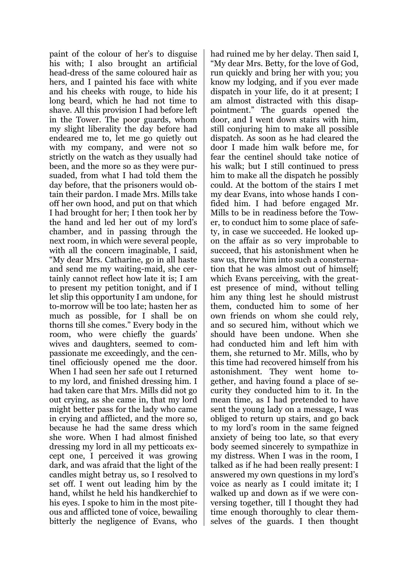paint of the colour of her's to disguise his with; I also brought an artificial head-dress of the same coloured hair as hers, and I painted his face with white and his cheeks with rouge, to hide his long beard, which he had not time to shave. All this provision I had before left in the Tower. The poor guards, whom my slight liberality the day before had endeared me to, let me go quietly out with my company, and were not so strictly on the watch as they usually had been, and the more so as they were pursuaded, from what I had told them the day before, that the prisoners would obtain their pardon. I made Mrs. Mills take off her own hood, and put on that which I had brought for her; I then took her by the hand and led her out of my lord's chamber, and in passing through the next room, in which were several people, with all the concern imaginable, I said, "My dear Mrs. Catharine, go in all haste and send me my waiting-maid, she certainly cannot reflect how late it is; I am to present my petition tonight, and if I let slip this opportunity I am undone, for to-morrow will be too late; hasten her as much as possible, for I shall be on thorns till she comes." Every body in the room, who were chiefly the guards' wives and daughters, seemed to compassionate me exceedingly, and the centinel officiously opened me the door. When I had seen her safe out I returned to my lord, and finished dressing him. I had taken care that Mrs. Mills did not go out crying, as she came in, that my lord might better pass for the lady who came in crying and afflicted, and the more so, because he had the same dress which she wore. When I had almost finished dressing my lord in all my petticoats except one, I perceived it was growing dark, and was afraid that the light of the candles might betray us, so I resolved to set off. I went out leading him by the hand, whilst he held his handkerchief to his eyes. I spoke to him in the most piteous and afflicted tone of voice, bewailing bitterly the negligence of Evans, who

had ruined me by her delay. Then said I, "My dear Mrs. Betty, for the love of God, run quickly and bring her with you; you know my lodging, and if you ever made dispatch in your life, do it at present; I am almost distracted with this disappointment." The guards opened the door, and I went down stairs with him, still conjuring him to make all possible dispatch. As soon as he had cleared the door I made him walk before me, for fear the centinel should take notice of his walk; but I still continued to press him to make all the dispatch he possibly could. At the bottom of the stairs I met my dear Evans, into whose hands I confided him. I had before engaged Mr. Mills to be in readiness before the Tower, to conduct him to some place of safety, in case we succeeded. He looked upon the affair as so very improbable to succeed, that his astonishment when he saw us, threw him into such a consternation that he was almost out of himself; which Evans perceiving, with the greatest presence of mind, without telling him any thing lest he should mistrust them, conducted him to some of her own friends on whom she could rely, and so secured him, without which we should have been undone. When she had conducted him and left him with them, she returned to Mr. Mills, who by this time had recovered himself from his astonishment. They went home together, and having found a place of security they conducted him to it. In the mean time, as I had pretended to have sent the young lady on a message, I was obliged to return up stairs, and go back to my lord's room in the same feigned anxiety of being too late, so that every body seemed sincerely to sympathize in my distress. When I was in the room, I talked as if he had been really present: I answered my own questions in my lord's voice as nearly as I could imitate it; I walked up and down as if we were conversing together, till I thought they had time enough thoroughly to clear themselves of the guards. I then thought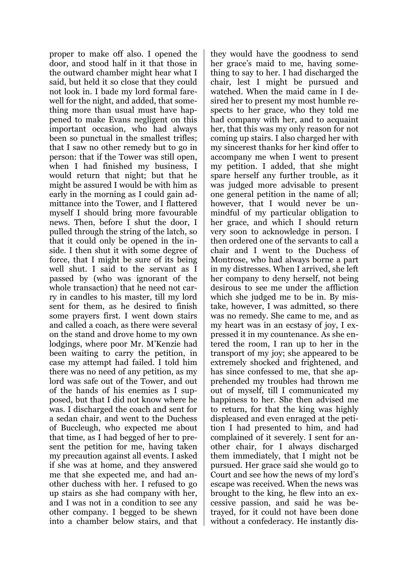proper to make off also. I opened the door, and stood half in it that those in the outward chamber might hear what I said, but held it so close that they could not look in. I bade my lord formal farewell for the night, and added, that something more than usual must have happened to make Evans negligent on this important occasion, who had always been so punctual in the smallest trifles; that I saw no other remedy but to go in person: that if the Tower was still open, when I had finished my business, I would return that night; but that he might be assured I would be with him as early in the morning as I could gain admittance into the Tower, and I flattered myself I should bring more favourable news. Then, before I shut the door, I pulled through the string of the latch, so that it could only be opened in the inside. I then shut it with some degree of force, that I might be sure of its being well shut. I said to the servant as I passed by (who was ignorant of the whole transaction) that he need not carry in candles to his master, till my lord sent for them, as he desired to finish some prayers first. I went down stairs and called a coach, as there were several on the stand and drove home to my own lodgings, where poor Mr. M'Kenzie had been waiting to carry the petition, in case my attempt had failed. I told him there was no need of any petition, as my lord was safe out of the Tower, and out of the hands of his enemies as I supposed, but that I did not know where he was. I discharged the coach and sent for a sedan chair, and went to the Duchess of Buccleugh, who expected me about that time, as I had begged of her to present the petition for me, having taken my precaution against all events. I asked if she was at home, and they answered me that she expected me, and had another duchess with her. I refused to go up stairs as she had company with her, and I was not in a condition to see any other company. I begged to be shewn into a chamber below stairs, and that they would have the goodness to send her grace's maid to me, having something to say to her. I had discharged the chair, lest I might be pursued and watched. When the maid came in I desired her to present my most humble respects to her grace, who they told me had company with her, and to acquaint her, that this was my only reason for not coming up stairs. I also charged her with my sincerest thanks for her kind offer to accompany me when I went to present my petition. I added, that she might spare herself any further trouble, as it was judged more advisable to present one general petition in the name of all; however, that I would never be unmindful of my particular obligation to her grace, and which I should return very soon to acknowledge in person. I then ordered one of the servants to call a chair and I went to the Duchess of Montrose, who had always borne a part in my distresses. When I arrived, she left her company to deny herself, not being desirous to see me under the affliction which she judged me to be in. By mistake, however, I was admitted, so there was no remedy. She came to me, and as my heart was in an ecstasy of joy, I expressed it in my countenance. As she entered the room, I ran up to her in the transport of my joy; she appeared to be extremely shocked and frightened, and has since confessed to me, that she apprehended my troubles had thrown me out of myself, till I communicated my happiness to her. She then advised me to return, for that the king was highly displeased and even enraged at the petition I had presented to him, and had complained of it severely. I sent for another chair, for I always discharged them immediately, that I might not be pursued. Her grace said she would go to Court and see how the news of my lord's escape was received. When the news was brought to the king, he flew into an excessive passion, and said he was betrayed, for it could not have been done without a confederacy. He instantly dis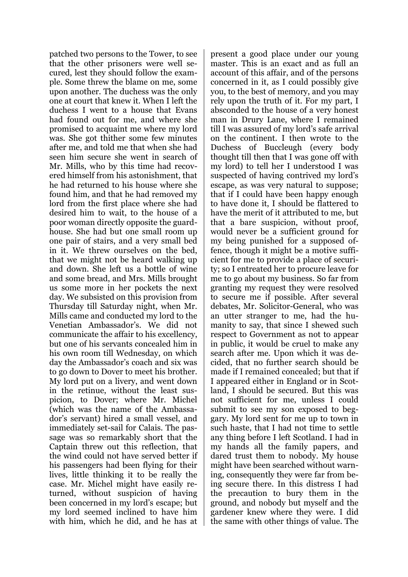patched two persons to the Tower, to see that the other prisoners were well secured, lest they should follow the example. Some threw the blame on me, some upon another. The duchess was the only one at court that knew it. When I left the duchess I went to a house that Evans had found out for me, and where she promised to acquaint me where my lord was. She got thither some few minutes after me, and told me that when she had seen him secure she went in search of Mr. Mills, who by this time had recovered himself from his astonishment, that he had returned to his house where she found him, and that he had removed my lord from the first place where she had desired him to wait, to the house of a poor woman directly opposite the guardhouse. She had but one small room up one pair of stairs, and a very small bed in it. We threw ourselves on the bed, that we might not be heard walking up and down. She left us a bottle of wine and some bread, and Mrs. Mills brought us some more in her pockets the next day. We subsisted on this provision from Thursday till Saturday night, when Mr. Mills came and conducted my lord to the Venetian Ambassador's. We did not communicate the affair to his excellency, but one of his servants concealed him in his own room till Wednesday, on which day the Ambassador's coach and six was to go down to Dover to meet his brother. My lord put on a livery, and went down in the retinue, without the least suspicion, to Dover; where Mr. Michel (which was the name of the Ambassador's servant) hired a small vessel, and immediately set-sail for Calais. The passage was so remarkably short that the Captain threw out this reflection, that the wind could not have served better if his passengers had been flying for their lives, little thinking it to be really the case. Mr. Michel might have easily returned, without suspicion of having been concerned in my lord's escape; but my lord seemed inclined to have him with him, which he did, and he has at present a good place under our young master. This is an exact and as full an account of this affair, and of the persons concerned in it, as I could possibly give you, to the best of memory, and you may rely upon the truth of it. For my part, I absconded to the house of a very honest man in Drury Lane, where I remained till I was assured of my lord's safe arrival on the continent. I then wrote to the Duchess of Buccleugh (every body thought till then that I was gone off with my lord) to tell her I understood I was suspected of having contrived my lord's escape, as was very natural to suppose; that if I could have been happy enough to have done it, I should be flattered to have the merit of it attributed to me, but that a bare suspicion, without proof, would never be a sufficient ground for my being punished for a supposed offence, though it might be a motive sufficient for me to provide a place of security; so I entreated her to procure leave for me to go about my business. So far from granting my request they were resolved to secure me if possible. After several debates, Mr. Solicitor-General, who was an utter stranger to me, had the humanity to say, that since I shewed such respect to Government as not to appear in public, it would be cruel to make any search after me. Upon which it was decided, that no further search should be made if I remained concealed; but that if I appeared either in England or in Scotland, I should be secured. But this was not sufficient for me, unless I could submit to see my son exposed to beggary. My lord sent for me up to town in such haste, that I had not time to settle any thing before I left Scotland. I had in my hands all the family papers, and dared trust them to nobody. My house might have been searched without warning, consequently they were far from being secure there. In this distress I had the precaution to bury them in the ground, and nobody but myself and the gardener knew where they were. I did the same with other things of value. The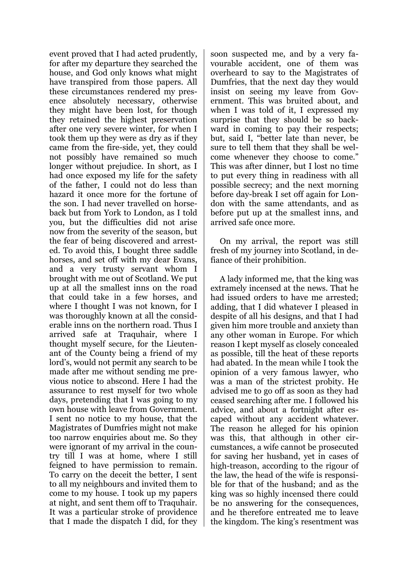event proved that I had acted prudently, for after my departure they searched the house, and God only knows what might have transpired from those papers. All these circumstances rendered my presence absolutely necessary, otherwise they might have been lost, for though they retained the highest preservation after one very severe winter, for when I took them up they were as dry as if they came from the fire-side, yet, they could not possibly have remained so much longer without prejudice. In short, as I had once exposed my life for the safety of the father, I could not do less than hazard it once more for the fortune of the son. I had never travelled on horseback but from York to London, as I told you, but the difficulties did not arise now from the severity of the season, but the fear of being discovered and arrested. To avoid this, I bought three saddle horses, and set off with my dear Evans, and a very trusty servant whom I brought with me out of Scotland. We put up at all the smallest inns on the road that could take in a few horses, and where I thought I was not known, for I was thoroughly known at all the considerable inns on the northern road. Thus I arrived safe at Traquhair, where I thought myself secure, for the Lieutenant of the County being a friend of my lord's, would not permit any search to be made after me without sending me previous notice to abscond. Here I had the assurance to rest myself for two whole days, pretending that I was going to my own house with leave from Government. I sent no notice to my house, that the Magistrates of Dumfries might not make too narrow enquiries about me. So they were ignorant of my arrival in the country till I was at home, where I still feigned to have permission to remain. To carry on the deceit the better, I sent to all my neighbours and invited them to come to my house. I took up my papers at night, and sent them off to Traquhair. It was a particular stroke of providence that I made the dispatch I did, for they

soon suspected me, and by a very favourable accident, one of them was overheard to say to the Magistrates of Dumfries, that the next day they would insist on seeing my leave from Government. This was bruited about, and when I was told of it, I expressed my surprise that they should be so backward in coming to pay their respects; but, said I, "better late than never, be sure to tell them that they shall be welcome whenever they choose to come." This was after dinner, but I lost no time to put every thing in readiness with all possible secrecy; and the next morning before day-break I set off again for London with the same attendants, and as before put up at the smallest inns, and arrived safe once more.

On my arrival, the report was still fresh of my journey into Scotland, in defiance of their prohibition.

A lady informed me, that the king was extramely incensed at the news. That he had issued orders to have me arrested; adding, that I did whatever I pleased in despite of all his designs, and that I had given him more trouble and anxiety than any other woman in Europe. For which reason I kept myself as closely concealed as possible, till the heat of these reports had abated. In the mean while I took the opinion of a very famous lawyer, who was a man of the strictest probity. He advised me to go off as soon as they had ceased searching after me. I followed his advice, and about a fortnight after escaped without any accident whatever. The reason he alleged for his opinion was this, that although in other circumstances, a wife cannot be prosecuted for saving her husband, yet in cases of high-treason, according to the rigour of the law, the head of the wife is responsible for that of the husband; and as the king was so highly incensed there could be no answering for the consequences, and he therefore entreated me to leave the kingdom. The king's resentment was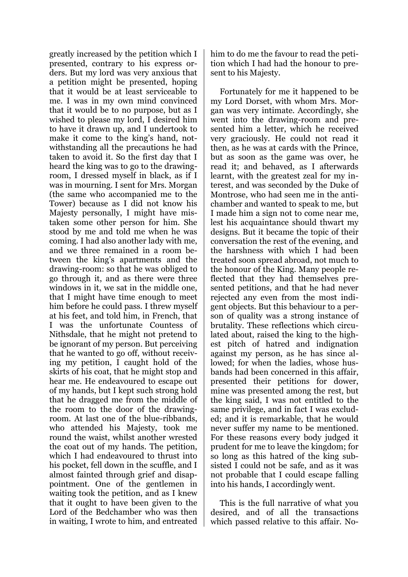greatly increased by the petition which I presented, contrary to his express orders. But my lord was very anxious that a petition might be presented, hoping that it would be at least serviceable to me. I was in my own mind convinced that it would be to no purpose, but as I wished to please my lord, I desired him to have it drawn up, and I undertook to make it come to the king's hand, notwithstanding all the precautions he had taken to avoid it. So the first day that I heard the king was to go to the drawingroom, I dressed myself in black, as if I was in mourning. I sent for Mrs. Morgan (the same who accompanied me to the Tower) because as I did not know his Majesty personally, I might have mistaken some other person for him. She stood by me and told me when he was coming. I had also another lady with me, and we three remained in a room between the king's apartments and the drawing-room: so that he was obliged to go through it, and as there were three windows in it, we sat in the middle one, that I might have time enough to meet him before he could pass. I threw myself at his feet, and told him, in French, that I was the unfortunate Countess of Nithsdale, that he might not pretend to be ignorant of my person. But perceiving that he wanted to go off, without receiving my petition, I caught hold of the skirts of his coat, that he might stop and hear me. He endeavoured to escape out of my hands, but I kept such strong hold that he dragged me from the middle of the room to the door of the drawingroom. At last one of the blue-ribbands, who attended his Majesty, took me round the waist, whilst another wrested the coat out of my hands. The petition, which I had endeavoured to thrust into his pocket, fell down in the scuffle, and I almost fainted through grief and disappointment. One of the gentlemen in waiting took the petition, and as I knew that it ought to have been given to the Lord of the Bedchamber who was then in waiting, I wrote to him, and entreated

him to do me the favour to read the petition which I had had the honour to present to his Majesty.

Fortunately for me it happened to be my Lord Dorset, with whom Mrs. Morgan was very intimate. Accordingly, she went into the drawing-room and presented him a letter, which he received very graciously. He could not read it then, as he was at cards with the Prince, but as soon as the game was over, he read it; and behaved, as I afterwards learnt, with the greatest zeal for my interest, and was seconded by the Duke of Montrose, who had seen me in the antichamber and wanted to speak to me, but I made him a sign not to come near me, lest his acquaintance should thwart my designs. But it became the topic of their conversation the rest of the evening, and the harshness with which I had been treated soon spread abroad, not much to the honour of the King. Many people reflected that they had themselves presented petitions, and that he had never rejected any even from the most indigent objects. But this behaviour to a person of quality was a strong instance of brutality. These reflections which circulated about, raised the king to the highest pitch of hatred and indignation against my person, as he has since allowed; for when the ladies, whose husbands had been concerned in this affair, presented their petitions for dower, mine was presented among the rest, but the king said, I was not entitled to the same privilege, and in fact I was excluded; and it is remarkable, that he would never suffer my name to be mentioned. For these reasons every body judged it prudent for me to leave the kingdom; for so long as this hatred of the king subsisted I could not be safe, and as it was not probable that I could escape falling into his hands, I accordingly went.

This is the full narrative of what you desired, and of all the transactions which passed relative to this affair. No